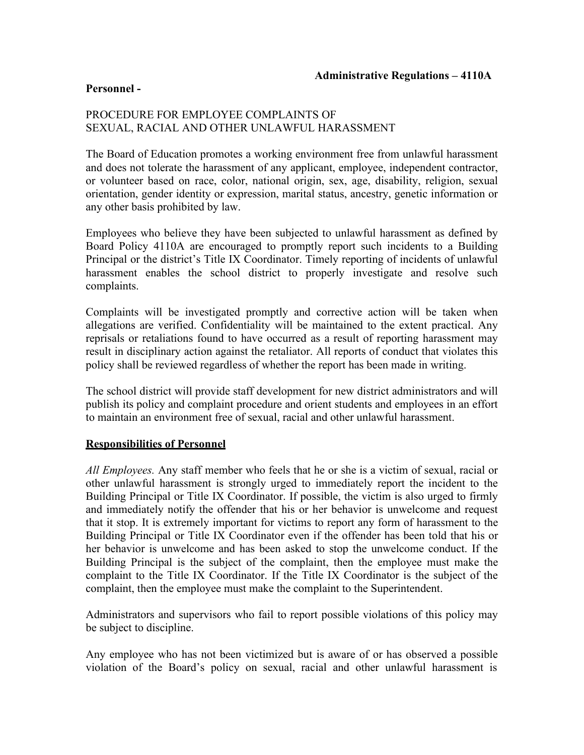## **Personnel -**

# PROCEDURE FOR EMPLOYEE COMPLAINTS OF SEXUAL, RACIAL AND OTHER UNLAWFUL HARASSMENT

 orientation, gender identity or expression, marital status, ancestry, genetic information or The Board of Education promotes a working environment free from unlawful harassment and does not tolerate the harassment of any applicant, employee, independent contractor, or volunteer based on race, color, national origin, sex, age, disability, religion, sexual any other basis prohibited by law.

 Board Policy 4110A are encouraged to promptly report such incidents to a Building Employees who believe they have been subjected to unlawful harassment as defined by Principal or the district's Title IX Coordinator. Timely reporting of incidents of unlawful harassment enables the school district to properly investigate and resolve such complaints.

Complaints will be investigated promptly and corrective action will be taken when allegations are verified. Confidentiality will be maintained to the extent practical. Any reprisals or retaliations found to have occurred as a result of reporting harassment may result in disciplinary action against the retaliator. All reports of conduct that violates this policy shall be reviewed regardless of whether the report has been made in writing.

The school district will provide staff development for new district administrators and will publish its policy and complaint procedure and orient students and employees in an effort to maintain an environment free of sexual, racial and other unlawful harassment.

## **Responsibilities of Personnel**

 complaint to the Title IX Coordinator. If the Title IX Coordinator is the subject of the *All Employees.* Any staff member who feels that he or she is a victim of sexual, racial or other unlawful harassment is strongly urged to immediately report the incident to the Building Principal or Title IX Coordinator. If possible, the victim is also urged to firmly and immediately notify the offender that his or her behavior is unwelcome and request that it stop. It is extremely important for victims to report any form of harassment to the Building Principal or Title IX Coordinator even if the offender has been told that his or her behavior is unwelcome and has been asked to stop the unwelcome conduct. If the Building Principal is the subject of the complaint, then the employee must make the complaint, then the employee must make the complaint to the Superintendent.

Administrators and supervisors who fail to report possible violations of this policy may be subject to discipline.

 violation of the Board's policy on sexual, racial and other unlawful harassment is Any employee who has not been victimized but is aware of or has observed a possible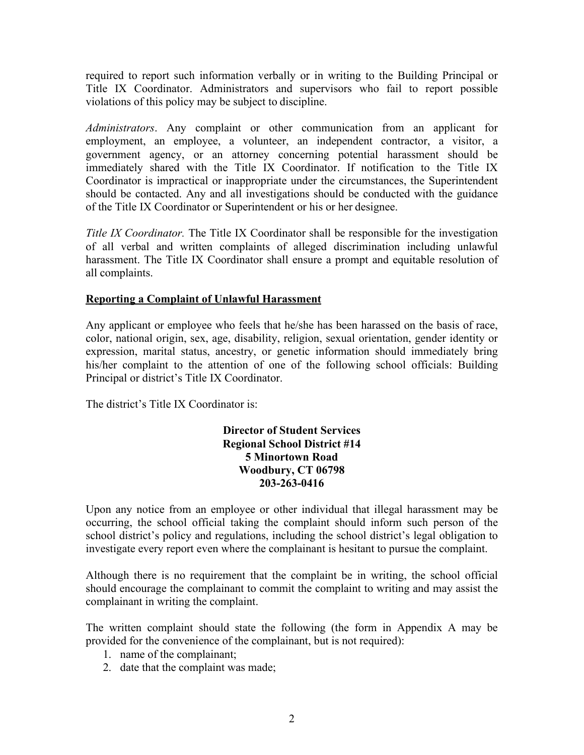violations of this policy may be subject to discipline. required to report such information verbally or in writing to the Building Principal or Title IX Coordinator. Administrators and supervisors who fail to report possible

 should be contacted. Any and all investigations should be conducted with the guidance of the Title IX Coordinator or Superintendent or his or her designee. *Administrators*. Any complaint or other communication from an applicant for employment, an employee, a volunteer, an independent contractor, a visitor, a government agency, or an attorney concerning potential harassment should be immediately shared with the Title IX Coordinator. If notification to the Title IX Coordinator is impractical or inappropriate under the circumstances, the Superintendent

 all complaints. *Title IX Coordinator.* The Title IX Coordinator shall be responsible for the investigation of all verbal and written complaints of alleged discrimination including unlawful harassment. The Title IX Coordinator shall ensure a prompt and equitable resolution of

# **Reporting a Complaint of Unlawful Harassment**

Any applicant or employee who feels that he/she has been harassed on the basis of race, color, national origin, sex, age, disability, religion, sexual orientation, gender identity or expression, marital status, ancestry, or genetic information should immediately bring his/her complaint to the attention of one of the following school officials: Building Principal or district's Title IX Coordinator.

The district's Title IX Coordinator is:

# **Director of Student Services Regional School District #14 5 Minortown Road Woodbury, CT 06798 203-263-0416**

Upon any notice from an employee or other individual that illegal harassment may be occurring, the school official taking the complaint should inform such person of the school district's policy and regulations, including the school district's legal obligation to investigate every report even where the complainant is hesitant to pursue the complaint.

Although there is no requirement that the complaint be in writing, the school official should encourage the complainant to commit the complaint to writing and may assist the complainant in writing the complaint.

The written complaint should state the following (the form in Appendix A may be provided for the convenience of the complainant, but is not required):

- 1. name of the complainant;
- 2. date that the complaint was made;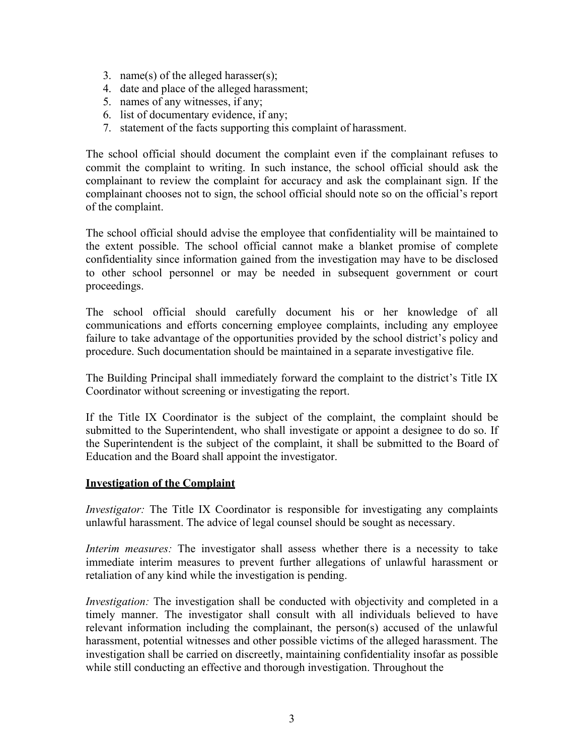- 3. name(s) of the alleged harasser(s);
- 4. date and place of the alleged harassment;
- 5. names of any witnesses, if any;
- 6. list of documentary evidence, if any;
- 7. statement of the facts supporting this complaint of harassment.

The school official should document the complaint even if the complainant refuses to commit the complaint to writing. In such instance, the school official should ask the complainant to review the complaint for accuracy and ask the complainant sign. If the complainant chooses not to sign, the school official should note so on the official's report of the complaint.

The school official should advise the employee that confidentiality will be maintained to the extent possible. The school official cannot make a blanket promise of complete confidentiality since information gained from the investigation may have to be disclosed to other school personnel or may be needed in subsequent government or court proceedings.

The school official should carefully document his or her knowledge of all communications and efforts concerning employee complaints, including any employee failure to take advantage of the opportunities provided by the school district's policy and procedure. Such documentation should be maintained in a separate investigative file.

 The Building Principal shall immediately forward the complaint to the district's Title IX Coordinator without screening or investigating the report.

If the Title IX Coordinator is the subject of the complaint, the complaint should be submitted to the Superintendent, who shall investigate or appoint a designee to do so. If the Superintendent is the subject of the complaint, it shall be submitted to the Board of Education and the Board shall appoint the investigator.

## **Investigation of the Complaint**

 unlawful harassment. The advice of legal counsel should be sought as necessary. *Investigator:* The Title IX Coordinator is responsible for investigating any complaints

*Interim measures:* The investigator shall assess whether there is a necessity to take immediate interim measures to prevent further allegations of unlawful harassment or retaliation of any kind while the investigation is pending.

 investigation shall be carried on discreetly, maintaining confidentiality insofar as possible *Investigation:* The investigation shall be conducted with objectivity and completed in a timely manner. The investigator shall consult with all individuals believed to have relevant information including the complainant, the person(s) accused of the unlawful harassment, potential witnesses and other possible victims of the alleged harassment. The while still conducting an effective and thorough investigation. Throughout the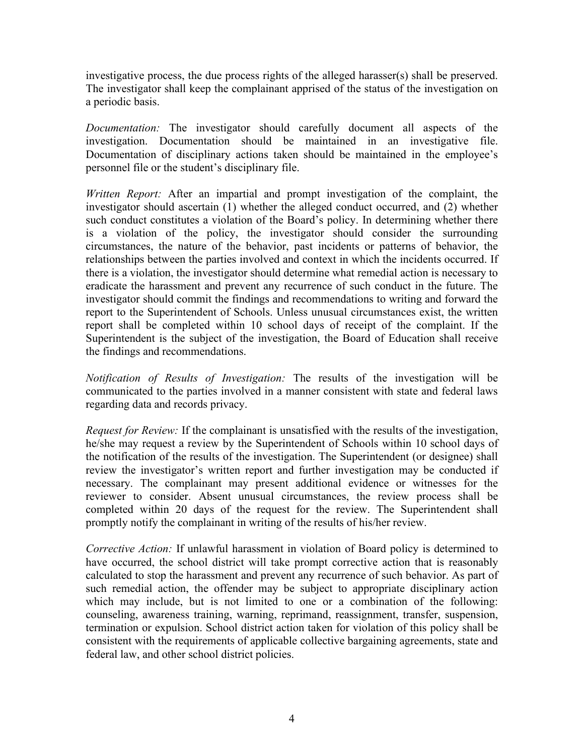investigative process, the due process rights of the alleged harasser(s) shall be preserved. The investigator shall keep the complainant apprised of the status of the investigation on a periodic basis.

*Documentation:* The investigator should carefully document all aspects of the investigation. Documentation should be maintained in an investigative file. Documentation of disciplinary actions taken should be maintained in the employee's personnel file or the student's disciplinary file.

 there is a violation, the investigator should determine what remedial action is necessary to eradicate the harassment and prevent any recurrence of such conduct in the future. The *Written Report:* After an impartial and prompt investigation of the complaint, the investigator should ascertain (1) whether the alleged conduct occurred, and (2) whether such conduct constitutes a violation of the Board's policy. In determining whether there is a violation of the policy, the investigator should consider the surrounding circumstances, the nature of the behavior, past incidents or patterns of behavior, the relationships between the parties involved and context in which the incidents occurred. If investigator should commit the findings and recommendations to writing and forward the report to the Superintendent of Schools. Unless unusual circumstances exist, the written report shall be completed within 10 school days of receipt of the complaint. If the Superintendent is the subject of the investigation, the Board of Education shall receive the findings and recommendations.

*Notification of Results of Investigation:* The results of the investigation will be communicated to the parties involved in a manner consistent with state and federal laws regarding data and records privacy.

 promptly notify the complainant in writing of the results of his/her review. *Request for Review:* If the complainant is unsatisfied with the results of the investigation, he/she may request a review by the Superintendent of Schools within 10 school days of the notification of the results of the investigation. The Superintendent (or designee) shall review the investigator's written report and further investigation may be conducted if necessary. The complainant may present additional evidence or witnesses for the reviewer to consider. Absent unusual circumstances, the review process shall be completed within 20 days of the request for the review. The Superintendent shall

 have occurred, the school district will take prompt corrective action that is reasonably federal law, and other school district policies. *Corrective Action:* If unlawful harassment in violation of Board policy is determined to calculated to stop the harassment and prevent any recurrence of such behavior. As part of such remedial action, the offender may be subject to appropriate disciplinary action which may include, but is not limited to one or a combination of the following: counseling, awareness training, warning, reprimand, reassignment, transfer, suspension, termination or expulsion. School district action taken for violation of this policy shall be consistent with the requirements of applicable collective bargaining agreements, state and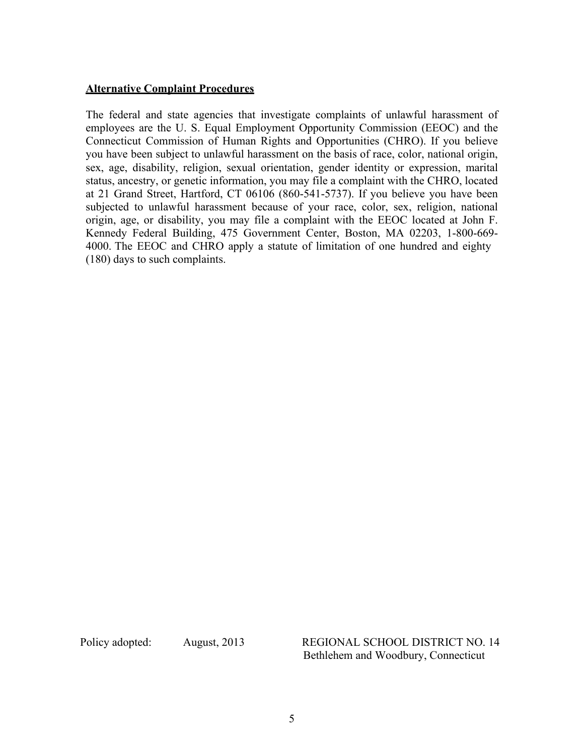#### **Alternative Complaint Procedures**

 4000. The EEOC and CHRO apply a statute of limitation of one hundred and eighty The federal and state agencies that investigate complaints of unlawful harassment of employees are the U. S. Equal Employment Opportunity Commission (EEOC) and the Connecticut Commission of Human Rights and Opportunities (CHRO). If you believe you have been subject to unlawful harassment on the basis of race, color, national origin, sex, age, disability, religion, sexual orientation, gender identity or expression, marital status, ancestry, or genetic information, you may file a complaint with the CHRO, located at 21 Grand Street, Hartford, CT 06106 (860-541-5737). If you believe you have been subjected to unlawful harassment because of your race, color, sex, religion, national origin, age, or disability, you may file a complaint with the EEOC located at John F. Kennedy Federal Building, 475 Government Center, Boston, MA 02203, 1-800-669- (180) days to such complaints.

Policy adopted: August, 2013 REGIONAL SCHOOL DISTRICT NO. 14 Bethlehem and Woodbury, Connecticut